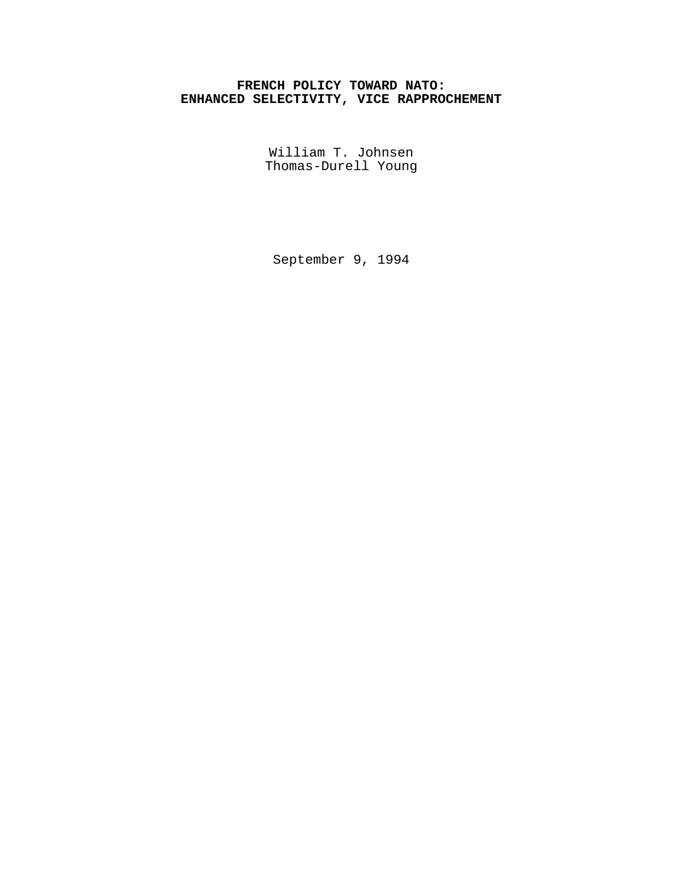# **FRENCH POLICY TOWARD NATO: ENHANCED SELECTIVITY, VICE RAPPROCHEMENT**

William T. Johnsen Thomas-Durell Young

September 9, 1994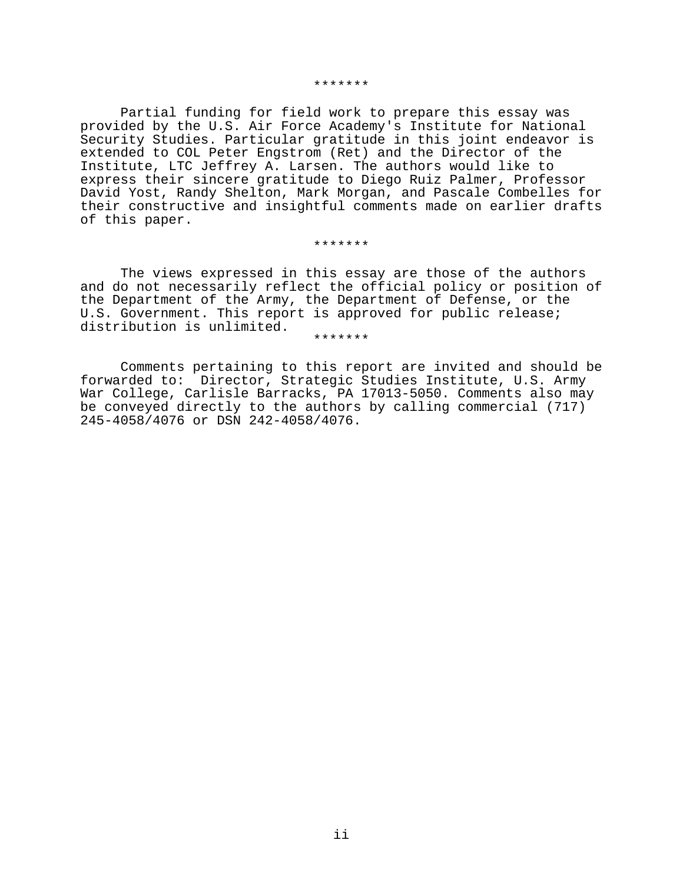#### \*\*\*\*\*\*\*

Partial funding for field work to prepare this essay was provided by the U.S. Air Force Academy's Institute for National Security Studies. Particular gratitude in this joint endeavor is extended to COL Peter Engstrom (Ret) and the Director of the Institute, LTC Jeffrey A. Larsen. The authors would like to express their sincere gratitude to Diego Ruiz Palmer, Professor David Yost, Randy Shelton, Mark Morgan, and Pascale Combelles for their constructive and insightful comments made on earlier drafts of this paper.

#### \*\*\*\*\*\*\*

The views expressed in this essay are those of the authors and do not necessarily reflect the official policy or position of the Department of the Army, the Department of Defense, or the U.S. Government. This report is approved for public release; distribution is unlimited.<br>\*\*\*\*\*\*\*

Comments pertaining to this report are invited and should be forwarded to: Director, Strategic Studies Institute, U.S. Army War College, Carlisle Barracks, PA 17013-5050. Comments also may be conveyed directly to the authors by calling commercial (717) 245-4058/4076 or DSN 242-4058/4076.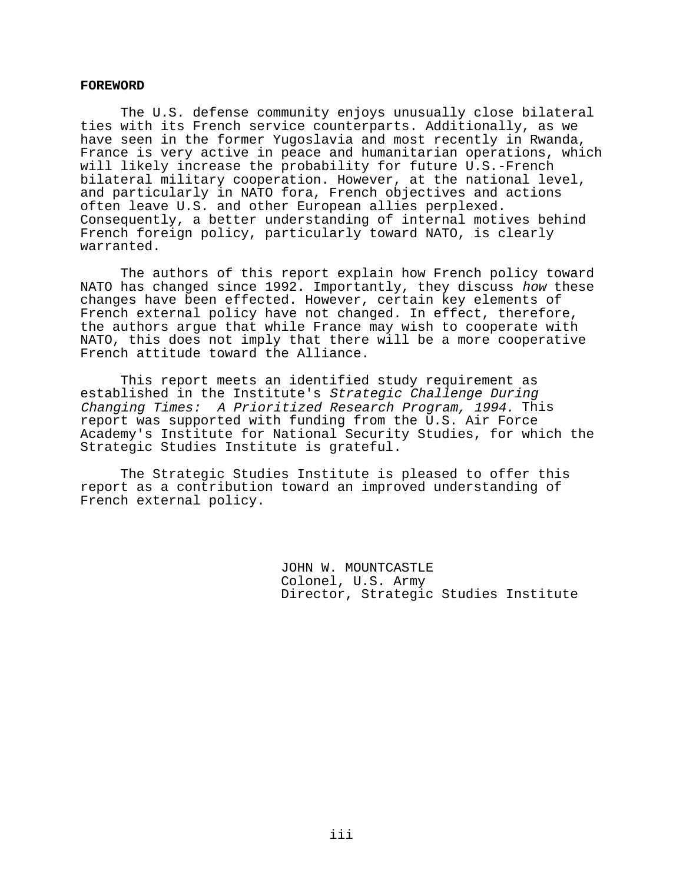#### **FOREWORD**

The U.S. defense community enjoys unusually close bilateral ties with its French service counterparts. Additionally, as we have seen in the former Yugoslavia and most recently in Rwanda, France is very active in peace and humanitarian operations, which will likely increase the probability for future U.S.-French bilateral military cooperation. However, at the national level, and particularly in NATO fora, French objectives and actions often leave U.S. and other European allies perplexed. Consequently, a better understanding of internal motives behind French foreign policy, particularly toward NATO, is clearly warranted.

The authors of this report explain how French policy toward NATO has changed since 1992. Importantly, they discuss how these changes have been effected. However, certain key elements of French external policy have not changed. In effect, therefore, the authors argue that while France may wish to cooperate with NATO, this does not imply that there will be a more cooperative French attitude toward the Alliance.

This report meets an identified study requirement as established in the Institute's Strategic Challenge During Changing Times: A Prioritized Research Program, 1994. This report was supported with funding from the U.S. Air Force Academy's Institute for National Security Studies, for which the Strategic Studies Institute is grateful.

The Strategic Studies Institute is pleased to offer this report as a contribution toward an improved understanding of French external policy.

> JOHN W. MOUNTCASTLE Colonel, U.S. Army Director, Strategic Studies Institute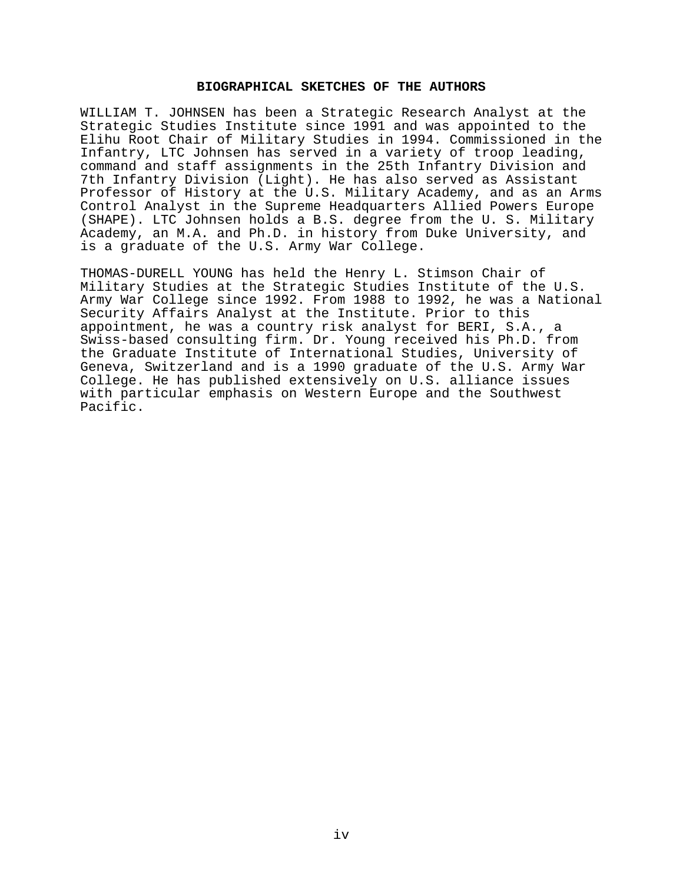## **BIOGRAPHICAL SKETCHES OF THE AUTHORS**

WILLIAM T. JOHNSEN has been a Strategic Research Analyst at the Strategic Studies Institute since 1991 and was appointed to the Elihu Root Chair of Military Studies in 1994. Commissioned in the Infantry, LTC Johnsen has served in a variety of troop leading, command and staff assignments in the 25th Infantry Division and 7th Infantry Division (Light). He has also served as Assistant Professor of History at the U.S. Military Academy, and as an Arms Control Analyst in the Supreme Headquarters Allied Powers Europe (SHAPE). LTC Johnsen holds a B.S. degree from the U. S. Military Academy, an M.A. and Ph.D. in history from Duke University, and is a graduate of the U.S. Army War College.

THOMAS-DURELL YOUNG has held the Henry L. Stimson Chair of Military Studies at the Strategic Studies Institute of the U.S. Army War College since 1992. From 1988 to 1992, he was a National Security Affairs Analyst at the Institute. Prior to this appointment, he was a country risk analyst for BERI, S.A., a Swiss-based consulting firm. Dr. Young received his Ph.D. from the Graduate Institute of International Studies, University of Geneva, Switzerland and is a 1990 graduate of the U.S. Army War College. He has published extensively on U.S. alliance issues with particular emphasis on Western Europe and the Southwest Pacific.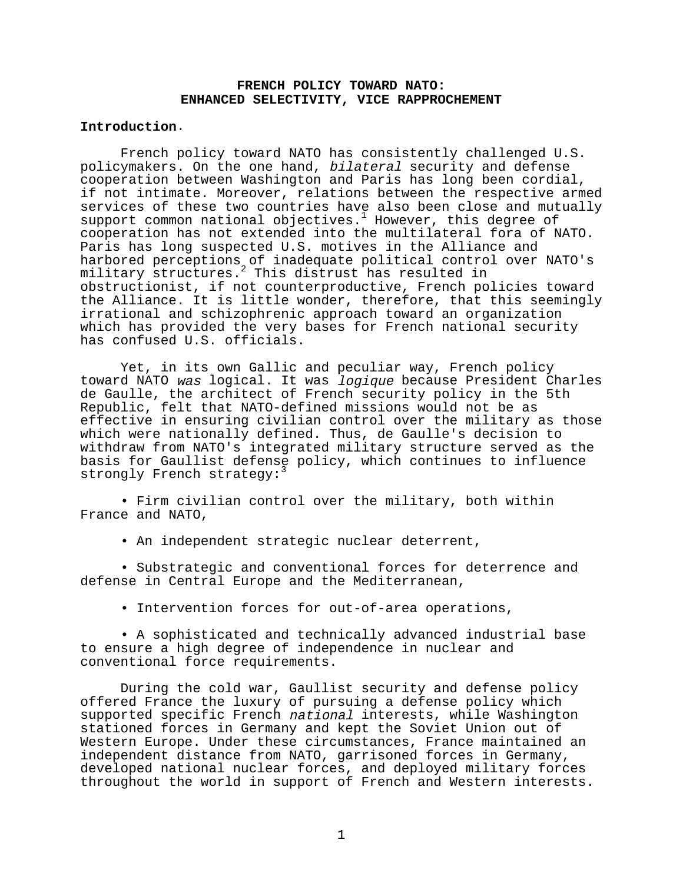## **FRENCH POLICY TOWARD NATO: ENHANCED SELECTIVITY, VICE RAPPROCHEMENT**

## **Introduction**.

French policy toward NATO has consistently challenged U.S. policymakers. On the one hand, bilateral security and defense cooperation between Washington and Paris has long been cordial, if not intimate. Moreover, relations between the respective armed services of these two countries have also been close and mutually  $support$  common national objectives.<sup>1</sup> However, this degree of cooperation has not extended into the multilateral fora of NATO. Paris has long suspected U.S. motives in the Alliance and harbored perceptions of inadequate political control over NATO's military structures.<sup>2</sup> This distrust has resulted in obstructionist, if not counterproductive, French policies toward the Alliance. It is little wonder, therefore, that this seemingly irrational and schizophrenic approach toward an organization which has provided the very bases for French national security has confused U.S. officials.

Yet, in its own Gallic and peculiar way, French policy toward NATO was logical. It was logique because President Charles de Gaulle, the architect of French security policy in the 5th Republic, felt that NATO-defined missions would not be as effective in ensuring civilian control over the military as those which were nationally defined. Thus, de Gaulle's decision to withdraw from NATO's integrated military structure served as the basis for Gaullist defense policy, which continues to influence strongly French strategy:<sup>3</sup>

• Firm civilian control over the military, both within France and NATO,

• An independent strategic nuclear deterrent,

• Substrategic and conventional forces for deterrence and defense in Central Europe and the Mediterranean,

• Intervention forces for out-of-area operations,

• A sophisticated and technically advanced industrial base to ensure a high degree of independence in nuclear and conventional force requirements.

During the cold war, Gaullist security and defense policy offered France the luxury of pursuing a defense policy which supported specific French national interests, while Washington stationed forces in Germany and kept the Soviet Union out of Western Europe. Under these circumstances, France maintained an independent distance from NATO, garrisoned forces in Germany, developed national nuclear forces, and deployed military forces throughout the world in support of French and Western interests.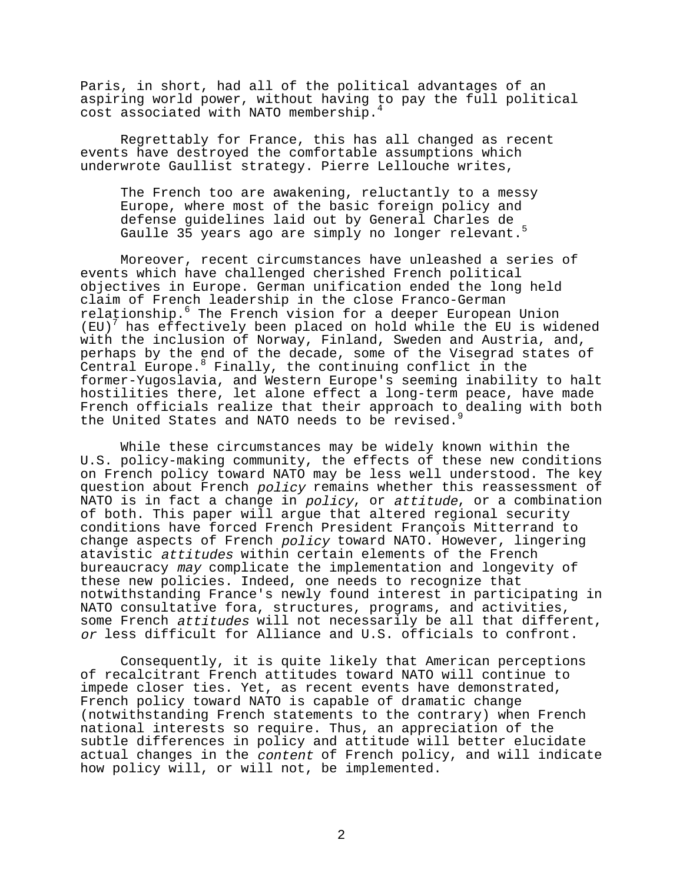Paris, in short, had all of the political advantages of an aspiring world power, without having to pay the full political cost associated with NATO membership.4

Regrettably for France, this has all changed as recent events have destroyed the comfortable assumptions which underwrote Gaullist strategy. Pierre Lellouche writes,

The French too are awakening, reluctantly to a messy Europe, where most of the basic foreign policy and defense guidelines laid out by General Charles de Gaulle 35 years ago are simply no longer relevant.<sup>5</sup>

Moreover, recent circumstances have unleashed a series of events which have challenged cherished French political objectives in Europe. German unification ended the long held claim of French leadership in the close Franco-German relaționship.<sup>6</sup> The French vision for a deeper European Union (EU)<sup>7</sup> has effectively been placed on hold while the EU is widened with the inclusion of Norway, Finland, Sweden and Austria, and, perhaps by the end of the decade, some of the Visegrad states of Central Europe.8 Finally, the continuing conflict in the former-Yugoslavia, and Western Europe's seeming inability to halt hostilities there, let alone effect a long-term peace, have made French officials realize that their approach to dealing with both the United States and NATO needs to be revised.

While these circumstances may be widely known within the U.S. policy-making community, the effects of these new conditions on French policy toward NATO may be less well understood. The key question about French policy remains whether this reassessment of NATO is in fact a change in policy, or attitude, or a combination of both. This paper will argue that altered regional security conditions have forced French President François Mitterrand to change aspects of French policy toward NATO. However, lingering atavistic attitudes within certain elements of the French bureaucracy may complicate the implementation and longevity of these new policies. Indeed, one needs to recognize that notwithstanding France's newly found interest in participating in NATO consultative fora, structures, programs, and activities, some French attitudes will not necessarily be all that different, or less difficult for Alliance and U.S. officials to confront.

Consequently, it is quite likely that American perceptions of recalcitrant French attitudes toward NATO will continue to impede closer ties. Yet, as recent events have demonstrated, French policy toward NATO is capable of dramatic change (notwithstanding French statements to the contrary) when French national interests so require. Thus, an appreciation of the subtle differences in policy and attitude will better elucidate actual changes in the content of French policy, and will indicate how policy will, or will not, be implemented.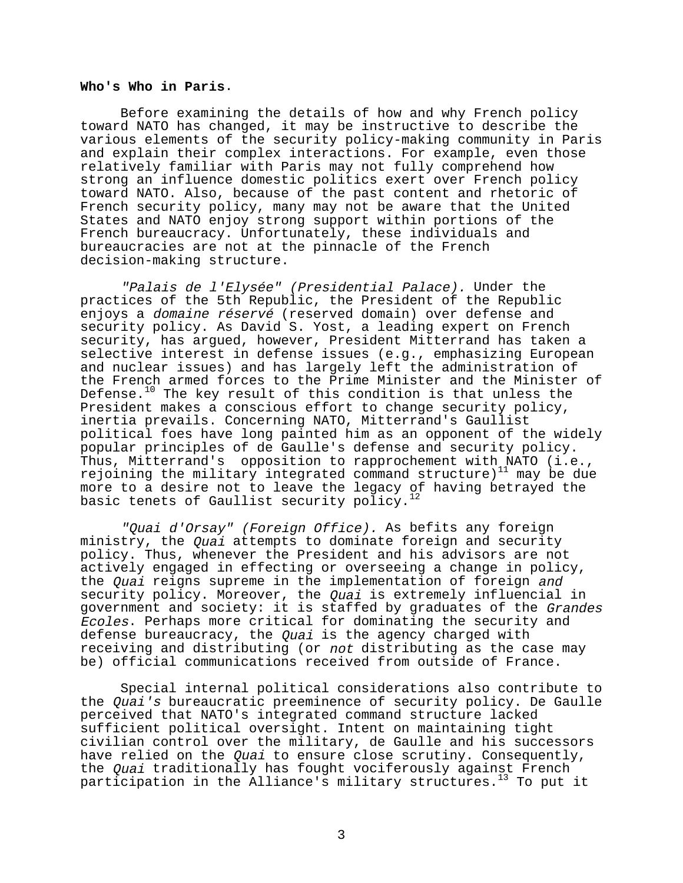#### **Who's Who in Paris**.

Before examining the details of how and why French policy toward NATO has changed, it may be instructive to describe the various elements of the security policy-making community in Paris and explain their complex interactions. For example, even those relatively familiar with Paris may not fully comprehend how strong an influence domestic politics exert over French policy toward NATO. Also, because of the past content and rhetoric of French security policy, many may not be aware that the United States and NATO enjoy strong support within portions of the French bureaucracy. Unfortunately, these individuals and bureaucracies are not at the pinnacle of the French decision-making structure.

"Palais de l'Elysée" (Presidential Palace). Under the practices of the 5th Republic, the President of the Republic enjoys a domaine réservé (reserved domain) over defense and security policy. As David S. Yost, a leading expert on French security, has argued, however, President Mitterrand has taken a selective interest in defense issues (e.g., emphasizing European and nuclear issues) and has largely left the administration of the French armed forces to the Prime Minister and the Minister of Defense.<sup>10</sup> The key result of this condition is that unless the President makes a conscious effort to change security policy, inertia prevails. Concerning NATO, Mitterrand's Gaullist political foes have long painted him as an opponent of the widely popular principles of de Gaulle's defense and security policy. Thus, Mitterrand's opposition to rapprochement with NATO (i.e., rejoining the military integrated command structure)<sup>11</sup> may be due more to a desire not to leave the legacy of having betrayed the basic tenets of Gaullist security policy.<sup>12</sup>

"Quai d'Orsay" (Foreign Office). As befits any foreign ministry, the Quai attempts to dominate foreign and security policy. Thus, whenever the President and his advisors are not actively engaged in effecting or overseeing a change in policy, the Quai reigns supreme in the implementation of foreign and security policy. Moreover, the Quai is extremely influencial in government and society: it is staffed by graduates of the Grandes Ecoles. Perhaps more critical for dominating the security and defense bureaucracy, the *Quai* is the agency charged with receiving and distributing (or not distributing as the case may be) official communications received from outside of France.

Special internal political considerations also contribute to the Quai's bureaucratic preeminence of security policy. De Gaulle perceived that NATO's integrated command structure lacked sufficient political oversight. Intent on maintaining tight civilian control over the military, de Gaulle and his successors have relied on the *Quai* to ensure close scrutiny. Consequently, the Quai traditionally has fought vociferously against French participation in the Alliance's military structures.<sup>13</sup> To put it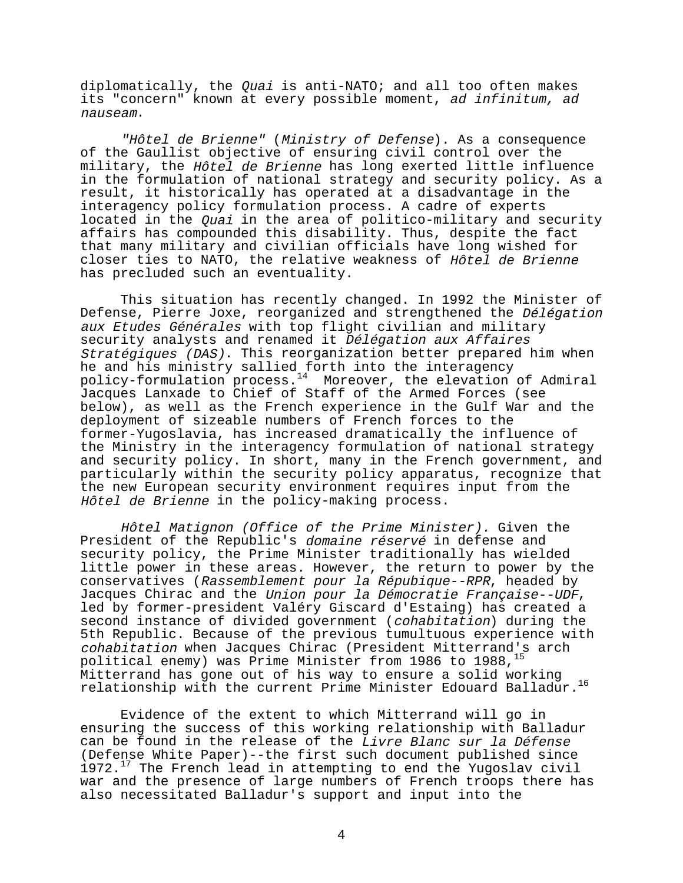diplomatically, the  $Quai$  is anti-NATO; and all too often makes its "concern" known at every possible moment, ad infinitum, ad nauseam.

"Hôtel de Brienne" (Ministry of Defense). As a consequence of the Gaullist objective of ensuring civil control over the military, the Hôtel de Brienne has long exerted little influence in the formulation of national strategy and security policy. As a result, it historically has operated at a disadvantage in the interagency policy formulation process. A cadre of experts located in the *Quai* in the area of politico-military and security affairs has compounded this disability. Thus, despite the fact that many military and civilian officials have long wished for closer ties to NATO, the relative weakness of Hôtel de Brienne has precluded such an eventuality.

This situation has recently changed. In 1992 the Minister of Defense, Pierre Joxe, reorganized and strengthened the Délégation aux Etudes Générales with top flight civilian and military security analysts and renamed it Délégation aux Affaires Stratégiques (DAS). This reorganization better prepared him when he and his ministry sallied forth into the interagency policy-formulation process.14 Moreover, the elevation of Admiral Jacques Lanxade to Chief of Staff of the Armed Forces (see below), as well as the French experience in the Gulf War and the deployment of sizeable numbers of French forces to the former-Yugoslavia, has increased dramatically the influence of the Ministry in the interagency formulation of national strategy and security policy. In short, many in the French government, and particularly within the security policy apparatus, recognize that the new European security environment requires input from the Hôtel de Brienne in the policy-making process.

Hôtel Matignon (Office of the Prime Minister). Given the President of the Republic's domaine réservé in defense and security policy, the Prime Minister traditionally has wielded little power in these areas. However, the return to power by the conservatives (Rassemblement pour la Répubique--RPR, headed by Jacques Chirac and the *Union pour la Démocratie Française--UDF,*<br>led by former-president Valéry Giscard d'Estaing) has created a second instance of divided government (cohabitation) during the 5th Republic. Because of the previous tumultuous experience with cohabitation when Jacques Chirac (President Mitterrand's arch political enemy) was Prime Minister from 1986 to 1988, <sup>15</sup> Mitterrand has gone out of his way to ensure a solid working relationship with the current Prime Minister Edouard Balladur.<sup>16</sup>

Evidence of the extent to which Mitterrand will go in ensuring the success of this working relationship with Balladur can be found in the release of the Livre Blanc sur la Défense (Defense White Paper)--the first such document published since  $1972.<sup>17</sup>$  The French lead in attempting to end the Yugoslav civil war and the presence of large numbers of French troops there has also necessitated Balladur's support and input into the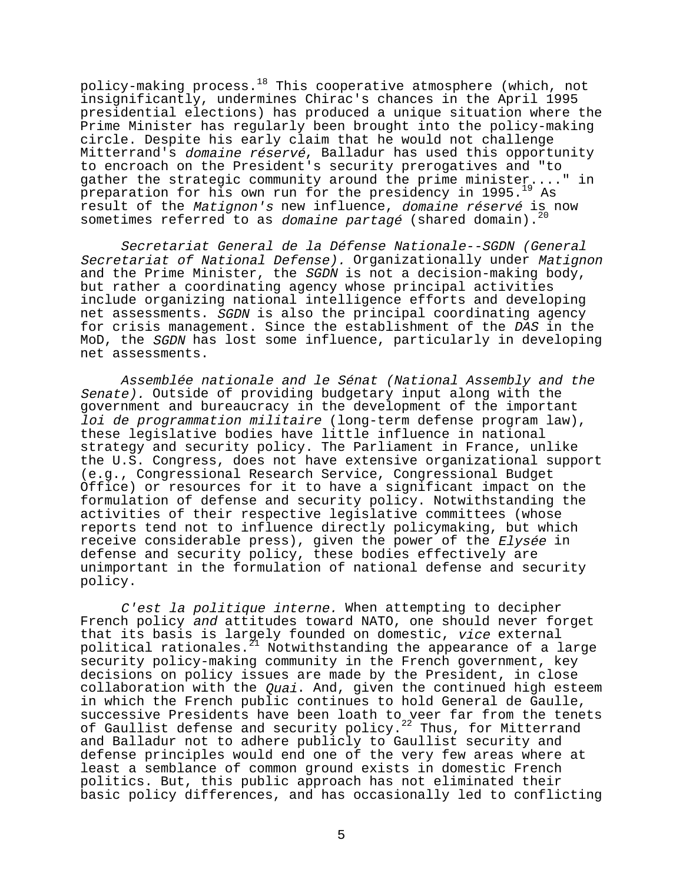policy-making process.<sup>18</sup> This cooperative atmosphere (which, not insignificantly, undermines Chirac's chances in the April 1995 presidential elections) has produced a unique situation where the Prime Minister has regularly been brought into the policy-making circle. Despite his early claim that he would not challenge Mitterrand's domaine réservé, Balladur has used this opportunity to encroach on the President's security prerogatives and "to gather the strategic community around the prime minister...." in preparation for his own run for the presidency in 1995.<sup>19</sup> As result of the Matignon's new influence, domaine réservé is now sometimes referred to as *domaine partagé* (shared domain).<sup>2</sup>

Secretariat General de la Défense Nationale--SGDN (General Secretariat of National Defense). Organizationally under Matignon and the Prime Minister, the SGDN is not a decision-making body, but rather a coordinating agency whose principal activities include organizing national intelligence efforts and developing net assessments. SGDN is also the principal coordinating agency for crisis management. Since the establishment of the DAS in the MoD, the SGDN has lost some influence, particularly in developing net assessments.

Assemblée nationale and le Sénat (National Assembly and the Senate). Outside of providing budgetary input along with the government and bureaucracy in the development of the important loi de programmation militaire (long-term defense program law), these legislative bodies have little influence in national strategy and security policy. The Parliament in France, unlike the U.S. Congress, does not have extensive organizational support (e.g., Congressional Research Service, Congressional Budget Office) or resources for it to have a significant impact on the formulation of defense and security policy. Notwithstanding the activities of their respective legislative committees (whose reports tend not to influence directly policymaking, but which receive considerable press), given the power of the Elysée in defense and security policy, these bodies effectively are unimportant in the formulation of national defense and security policy.

C'est la politique interne. When attempting to decipher French policy and attitudes toward NATO, one should never forget that its basis is largely founded on domestic, vice external political rationales.<sup>21</sup> Notwithstanding the appearance of a large security policy-making community in the French government, key decisions on policy issues are made by the President, in close collaboration with the Quai. And, given the continued high esteem in which the French public continues to hold General de Gaulle, successive Presidents have been loath to veer far from the tenets of Gaullist defense and security policy. $22$  Thus, for Mitterrand and Balladur not to adhere publicly to Gaullist security and defense principles would end one of the very few areas where at least a semblance of common ground exists in domestic French politics. But, this public approach has not eliminated their basic policy differences, and has occasionally led to conflicting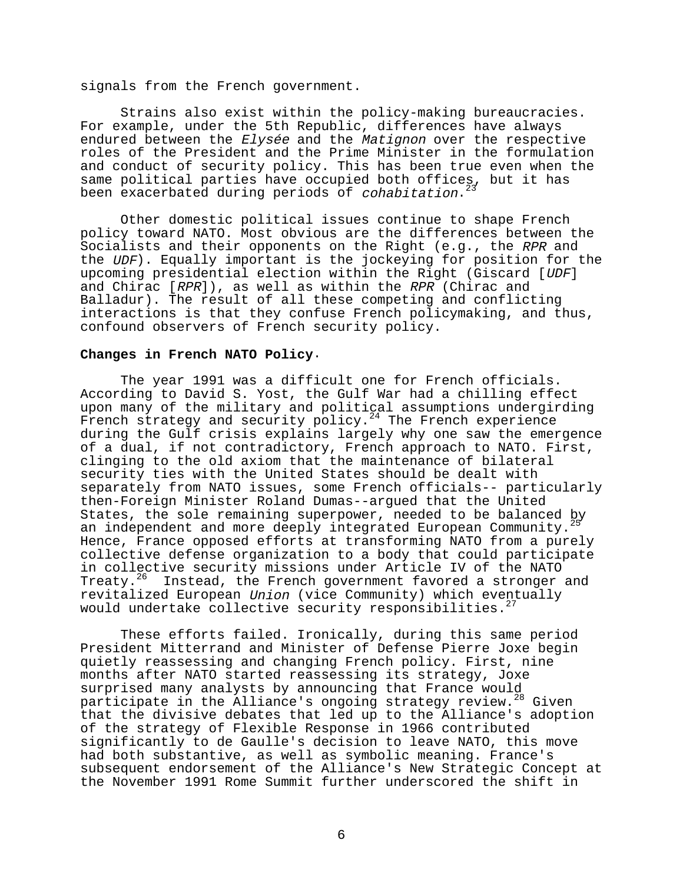signals from the French government.

Strains also exist within the policy-making bureaucracies. For example, under the 5th Republic, differences have always endured between the Elysée and the Matignon over the respective roles of the President and the Prime Minister in the formulation and conduct of security policy. This has been true even when the same political parties have occupied both offices, but it has been exacerbated during periods of cohabitation.<sup>23</sup>

Other domestic political issues continue to shape French policy toward NATO. Most obvious are the differences between the Socialists and their opponents on the Right (e.g., the RPR and the UDF). Equally important is the jockeying for position for the upcoming presidential election within the Right (Giscard [UDF] and Chirac [RPR]), as well as within the RPR (Chirac and Balladur). The result of all these competing and conflicting interactions is that they confuse French policymaking, and thus, confound observers of French security policy.

#### **Changes in French NATO Policy**.

The year 1991 was a difficult one for French officials. According to David S. Yost, the Gulf War had a chilling effect upon many of the military and political assumptions undergirding French strategy and security policy.<sup>24</sup> The French experience during the Gulf crisis explains largely why one saw the emergence of a dual, if not contradictory, French approach to NATO. First, clinging to the old axiom that the maintenance of bilateral security ties with the United States should be dealt with separately from NATO issues, some French officials-- particularly then-Foreign Minister Roland Dumas--argued that the United States, the sole remaining superpower, needed to be balanced by an independent and more deeply integrated European Community. Hence, France opposed efforts at transforming NATO from a purely collective defense organization to a body that could participate in collective security missions under Article IV of the NATO Treaty.<sup>26</sup> Instead, the French government favored a stronger and revitalized European Union (vice Community) which eventually would undertake collective security responsibilities.<sup>27</sup>

These efforts failed. Ironically, during this same period President Mitterrand and Minister of Defense Pierre Joxe begin quietly reassessing and changing French policy. First, nine months after NATO started reassessing its strategy, Joxe surprised many analysts by announcing that France would participate in the Alliance's ongoing strategy review.<sup>28</sup> Given that the divisive debates that led up to the Alliance's adoption of the strategy of Flexible Response in 1966 contributed significantly to de Gaulle's decision to leave NATO, this move had both substantive, as well as symbolic meaning. France's subsequent endorsement of the Alliance's New Strategic Concept at the November 1991 Rome Summit further underscored the shift in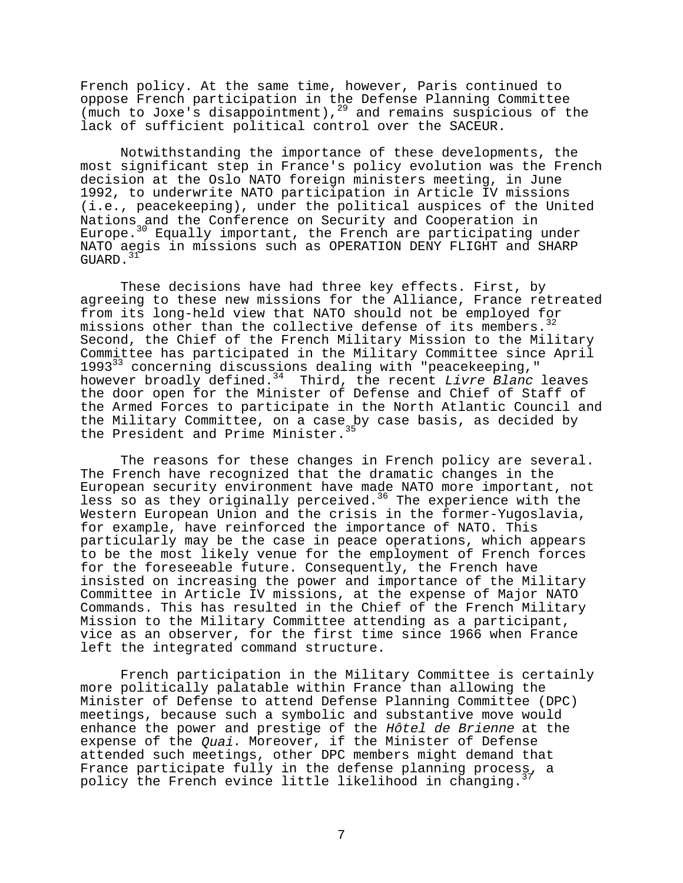French policy. At the same time, however, Paris continued to oppose French participation in the Defense Planning Committee (much to Joxe's disappointment),29 and remains suspicious of the lack of sufficient political control over the SACEUR.

Notwithstanding the importance of these developments, the most significant step in France's policy evolution was the French decision at the Oslo NATO foreign ministers meeting, in June 1992, to underwrite NATO participation in Article IV missions (i.e., peacekeeping), under the political auspices of the United Nations and the Conference on Security and Cooperation in Europe.30 Equally important, the French are participating under NATO aegis in missions such as OPERATION DENY FLIGHT and SHARP GUARD. $31$ 

These decisions have had three key effects. First, by agreeing to these new missions for the Alliance, France retreated from its long-held view that NATO should not be employed for missions other than the collective defense of its members. Second, the Chief of the French Military Mission to the Military Committee has participated in the Military Committee since April  $1993<sup>33</sup>$  concerning discussions dealing with "peacekeeping," however broadly defined.<sup>34</sup> Third, the recent Livre Blanc leaves the door open for the Minister of Defense and Chief of Staff of the Armed Forces to participate in the North Atlantic Council and the Military Committee, on a case by case basis, as decided by the President and Prime Minister.<sup>35</sup>

The reasons for these changes in French policy are several. The French have recognized that the dramatic changes in the European security environment have made NATO more important, not less so as they originally perceived.<sup>36</sup> The experience with the Western European Union and the crisis in the former-Yugoslavia, for example, have reinforced the importance of NATO. This particularly may be the case in peace operations, which appears to be the most likely venue for the employment of French forces for the foreseeable future. Consequently, the French have insisted on increasing the power and importance of the Military Committee in Article IV missions, at the expense of Major NATO Commands. This has resulted in the Chief of the French Military Mission to the Military Committee attending as a participant, vice as an observer, for the first time since 1966 when France left the integrated command structure.

French participation in the Military Committee is certainly more politically palatable within France than allowing the Minister of Defense to attend Defense Planning Committee (DPC) meetings, because such a symbolic and substantive move would enhance the power and prestige of the Hôtel de Brienne at the expense of the *Quai*. Moreover, if the Minister of Defense attended such meetings, other DPC members might demand that France participate fully in the defense planning process, a policy the French evince little likelihood in changing.<sup>37</sup>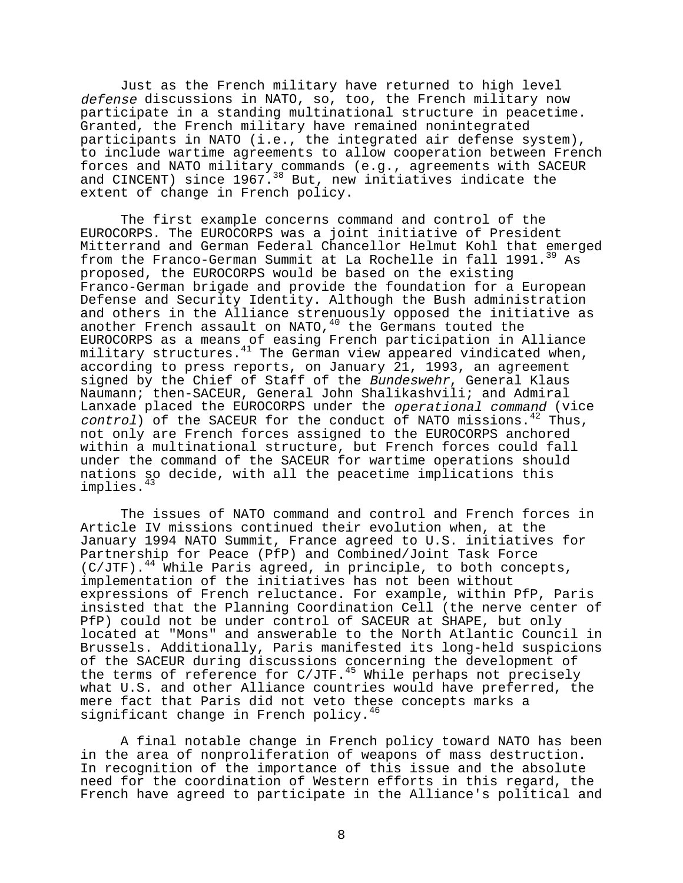Just as the French military have returned to high level defense discussions in NATO, so, too, the French military now participate in a standing multinational structure in peacetime. Granted, the French military have remained nonintegrated participants in NATO (i.e., the integrated air defense system), to include wartime agreements to allow cooperation between French forces and NATO military commands (e.g., agreements with SACEUR and CINCENT) since 1967.<sup>38</sup> But, new initiatives indicate the extent of change in French policy.

The first example concerns command and control of the EUROCORPS. The EUROCORPS was a joint initiative of President Mitterrand and German Federal Chancellor Helmut Kohl that emerged from the Franco-German Summit at La Rochelle in fall 1991.<sup>39</sup> As proposed, the EUROCORPS would be based on the existing Franco-German brigade and provide the foundation for a European Defense and Security Identity. Although the Bush administration and others in the Alliance strenuously opposed the initiative as another French assault on NATO,  $40$  the Germans touted the EUROCORPS as a means of easing French participation in Alliance military structures.<sup>41</sup> The German view appeared vindicated when, according to press reports, on January 21, 1993, an agreement signed by the Chief of Staff of the Bundeswehr, General Klaus Naumann; then-SACEUR, General John Shalikashvili; and Admiral Lanxade placed the EUROCORPS under the operational command (vice  $control)$  of the SACEUR for the conduct of NATO missions.<sup>42</sup> Thus, not only are French forces assigned to the EUROCORPS anchored within a multinational structure, but French forces could fall under the command of the SACEUR for wartime operations should nations so decide, with all the peacetime implications this implies.<sup>43</sup>

The issues of NATO command and control and French forces in Article IV missions continued their evolution when, at the January 1994 NATO Summit, France agreed to U.S. initiatives for Partnership for Peace (PfP) and Combined/Joint Task Force  $(C/JTF)$ .<sup>44</sup> While Paris agreed, in principle, to both concepts, implementation of the initiatives has not been without expressions of French reluctance. For example, within PfP, Paris insisted that the Planning Coordination Cell (the nerve center of PfP) could not be under control of SACEUR at SHAPE, but only located at "Mons" and answerable to the North Atlantic Council in Brussels. Additionally, Paris manifested its long-held suspicions of the SACEUR during discussions concerning the development of the terms of reference for  $C/JTF.$ <sup>45</sup> While perhaps not precisely what U.S. and other Alliance countries would have preferred, the mere fact that Paris did not veto these concepts marks a significant change in French policy.<sup>46</sup>

A final notable change in French policy toward NATO has been in the area of nonproliferation of weapons of mass destruction. In recognition of the importance of this issue and the absolute need for the coordination of Western efforts in this regard, the French have agreed to participate in the Alliance's political and

8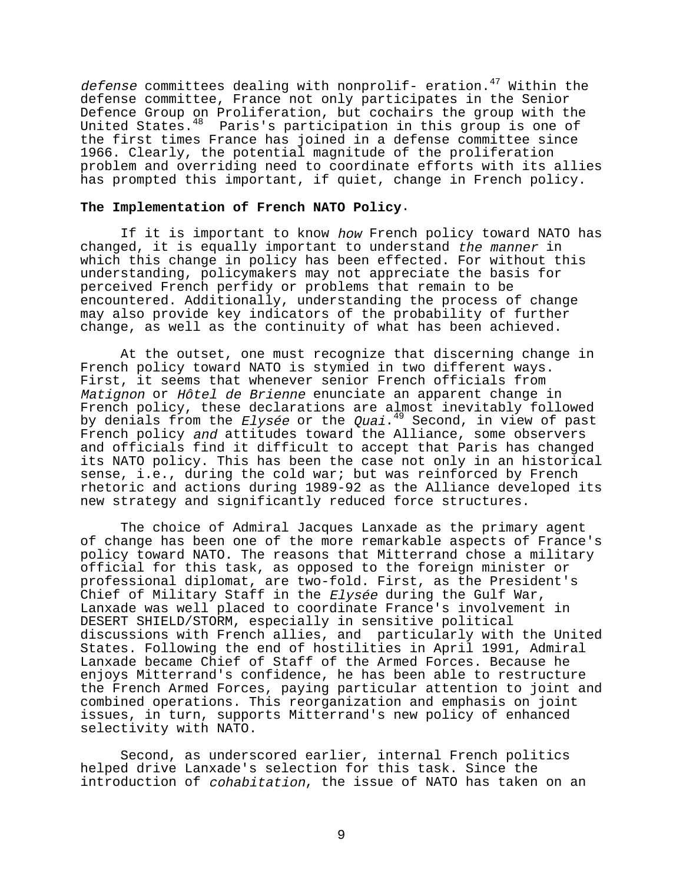defense committees dealing with nonprolif- eration.<sup>47</sup> Within the defense committee, France not only participates in the Senior Defence Group on Proliferation, but cochairs the group with the United States.<sup>48</sup> Paris's participation in this group is one of the first times France has joined in a defense committee since 1966. Clearly, the potential magnitude of the proliferation problem and overriding need to coordinate efforts with its allies has prompted this important, if quiet, change in French policy.

## **The Implementation of French NATO Policy**.

If it is important to know how French policy toward NATO has changed, it is equally important to understand the manner in which this change in policy has been effected. For without this understanding, policymakers may not appreciate the basis for perceived French perfidy or problems that remain to be encountered. Additionally, understanding the process of change may also provide key indicators of the probability of further change, as well as the continuity of what has been achieved.

At the outset, one must recognize that discerning change in French policy toward NATO is stymied in two different ways. First, it seems that whenever senior French officials from Matignon or Hôtel de Brienne enunciate an apparent change in French policy, these declarations are almost inevitably followed by denials from the *Elysée* or the *Quai*.<sup>49</sup> Second, in view of past French policy and attitudes toward the Alliance, some observers and officials find it difficult to accept that Paris has changed its NATO policy. This has been the case not only in an historical sense, i.e., during the cold war; but was reinforced by French rhetoric and actions during 1989-92 as the Alliance developed its new strategy and significantly reduced force structures.

The choice of Admiral Jacques Lanxade as the primary agent of change has been one of the more remarkable aspects of France's policy toward NATO. The reasons that Mitterrand chose a military official for this task, as opposed to the foreign minister or professional diplomat, are two-fold. First, as the President's Chief of Military Staff in the Elysée during the Gulf War, Lanxade was well placed to coordinate France's involvement in DESERT SHIELD/STORM, especially in sensitive political discussions with French allies, and particularly with the United States. Following the end of hostilities in April 1991, Admiral Lanxade became Chief of Staff of the Armed Forces. Because he enjoys Mitterrand's confidence, he has been able to restructure the French Armed Forces, paying particular attention to joint and combined operations. This reorganization and emphasis on joint issues, in turn, supports Mitterrand's new policy of enhanced selectivity with NATO.

Second, as underscored earlier, internal French politics helped drive Lanxade's selection for this task. Since the introduction of cohabitation, the issue of NATO has taken on an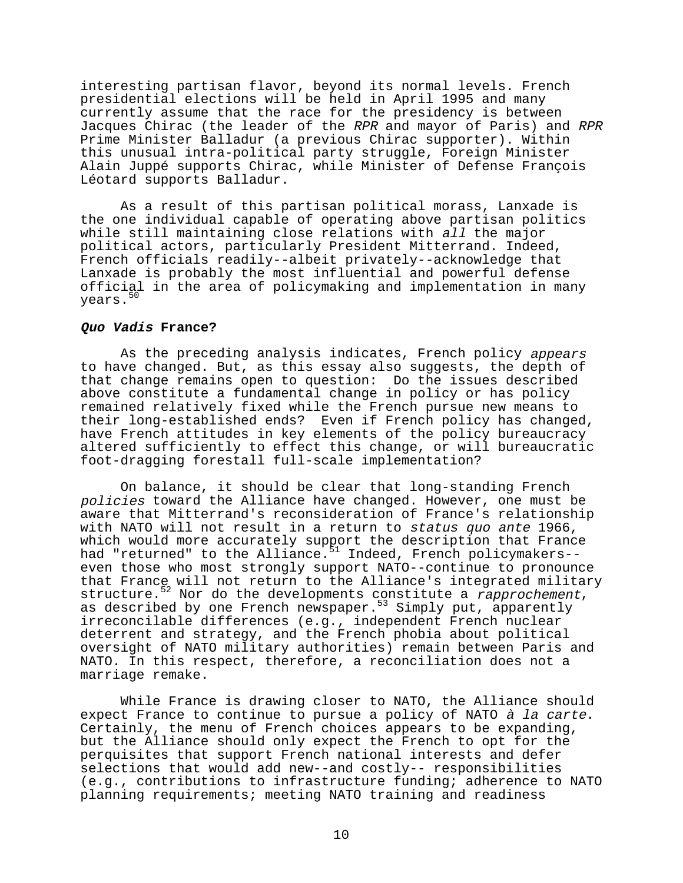interesting partisan flavor, beyond its normal levels. French presidential elections will be held in April 1995 and many currently assume that the race for the presidency is between Jacques Chirac (the leader of the RPR and mayor of Paris) and RPR Prime Minister Balladur (a previous Chirac supporter). Within this unusual intra-political party struggle, Foreign Minister Alain Juppé supports Chirac, while Minister of Defense François Léotard supports Balladur.

As a result of this partisan political morass, Lanxade is the one individual capable of operating above partisan politics while still maintaining close relations with all the major political actors, particularly President Mitterrand. Indeed, French officials readily--albeit privately--acknowledge that Lanxade is probably the most influential and powerful defense official in the area of policymaking and implementation in many years.<sup>50</sup>

#### **Quo Vadis France?**

As the preceding analysis indicates, French policy appears to have changed. But, as this essay also suggests, the depth of that change remains open to question: Do the issues described above constitute a fundamental change in policy or has policy remained relatively fixed while the French pursue new means to their long-established ends? Even if French policy has changed, have French attitudes in key elements of the policy bureaucracy altered sufficiently to effect this change, or will bureaucratic foot-dragging forestall full-scale implementation?

On balance, it should be clear that long-standing French policies toward the Alliance have changed. However, one must be aware that Mitterrand's reconsideration of France's relationship with NATO will not result in a return to status quo ante 1966, which would more accurately support the description that France had "returned" to the Alliance.<sup>51</sup> Indeed, French policymakers-even those who most strongly support NATO--continue to pronounce that France will not return to the Alliance's integrated military structure.<sup>52</sup> Nor do the developments constitute a *rapprochement,*<br>as described by one French newspaper.<sup>53</sup> Simply put, apparently irreconcilable differences (e.g., independent French nuclear deterrent and strategy, and the French phobia about political oversight of NATO military authorities) remain between Paris and NATO. In this respect, therefore, a reconciliation does not a marriage remake.

While France is drawing closer to NATO, the Alliance should expect France to continue to pursue a policy of NATO à la carte.<br>Certainly, the menu of French choices appears to be expanding, but the Alliance should only expect the French to opt for the perquisites that support French national interests and defer selections that would add new--and costly-- responsibilities (e.g., contributions to infrastructure funding; adherence to NATO planning requirements; meeting NATO training and readiness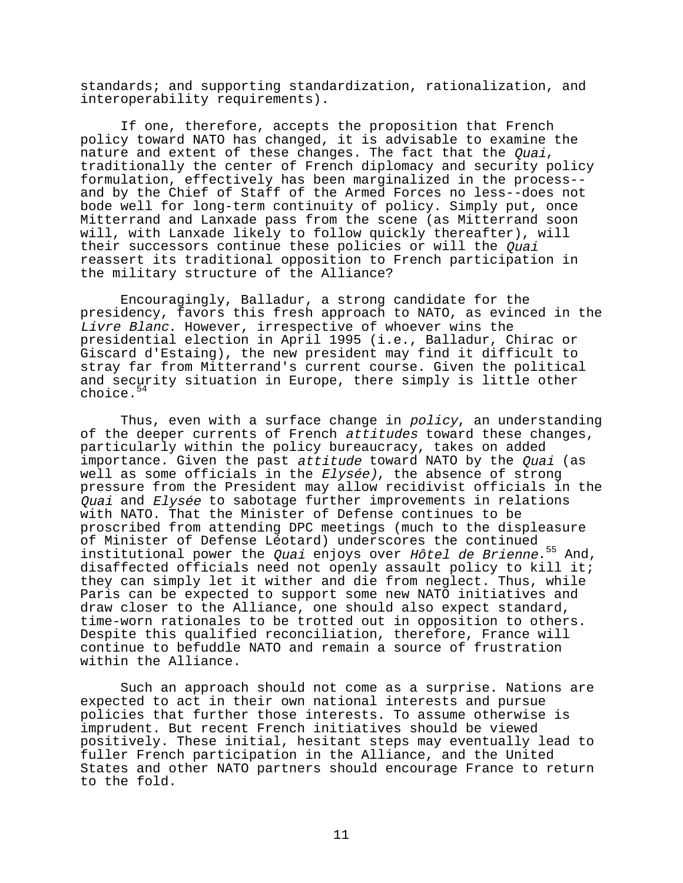standards; and supporting standardization, rationalization, and interoperability requirements).

If one, therefore, accepts the proposition that French policy toward NATO has changed, it is advisable to examine the nature and extent of these changes. The fact that the *Quai*, traditionally the center of French diplomacy and security policy formulation, effectively has been marginalized in the process- and by the Chief of Staff of the Armed Forces no less--does not bode well for long-term continuity of policy. Simply put, once Mitterrand and Lanxade pass from the scene (as Mitterrand soon will, with Lanxade likely to follow quickly thereafter), will their successors continue these policies or will the *Quai* reassert its traditional opposition to French participation in the military structure of the Alliance?

Encouragingly, Balladur, a strong candidate for the presidency, favors this fresh approach to NATO, as evinced in the Livre Blanc. However, irrespective of whoever wins the presidential election in April 1995 (i.e., Balladur, Chirac or Giscard d'Estaing), the new president may find it difficult to stray far from Mitterrand's current course. Given the political and security situation in Europe, there simply is little other choice.<sup>54</sup>

Thus, even with a surface change in policy, an understanding of the deeper currents of French attitudes toward these changes, particularly within the policy bureaucracy, takes on added importance. Given the past attitude toward NATO by the *Quai* (as well as some officials in the Elysée), the absence of strong pressure from the President may allow recidivist officials in the Quai and Elysée to sabotage further improvements in relations with NATO. That the Minister of Defense continues to be proscribed from attending DPC meetings (much to the displeasure of Minister of Defense Léotard) underscores the continued institutional power the Quai enjoys over  $H\hat{o}tel$  de Brienne.<sup>55</sup> And, disaffected officials need not openly assault policy to kill it; they can simply let it wither and die from neglect. Thus, while Paris can be expected to support some new NATO initiatives and draw closer to the Alliance, one should also expect standard, time-worn rationales to be trotted out in opposition to others. Despite this qualified reconciliation, therefore, France will continue to befuddle NATO and remain a source of frustration within the Alliance.

Such an approach should not come as a surprise. Nations are expected to act in their own national interests and pursue policies that further those interests. To assume otherwise is imprudent. But recent French initiatives should be viewed positively. These initial, hesitant steps may eventually lead to fuller French participation in the Alliance, and the United States and other NATO partners should encourage France to return to the fold.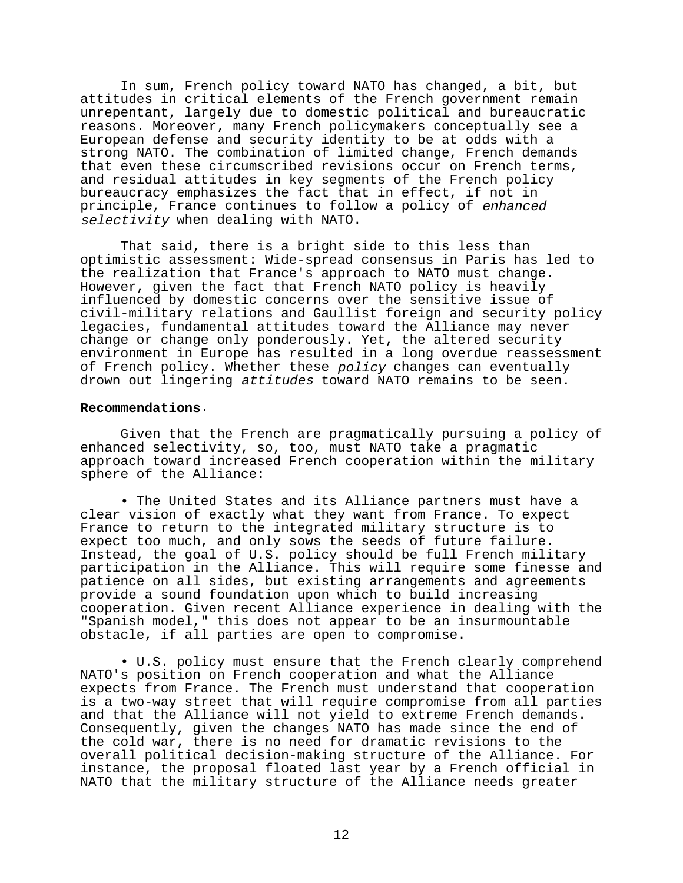In sum, French policy toward NATO has changed, a bit, but attitudes in critical elements of the French government remain unrepentant, largely due to domestic political and bureaucratic reasons. Moreover, many French policymakers conceptually see a European defense and security identity to be at odds with a strong NATO. The combination of limited change, French demands that even these circumscribed revisions occur on French terms, and residual attitudes in key segments of the French policy bureaucracy emphasizes the fact that in effect, if not in principle, France continues to follow a policy of enhanced selectivity when dealing with NATO.

That said, there is a bright side to this less than optimistic assessment: Wide-spread consensus in Paris has led to the realization that France's approach to NATO must change. However, given the fact that French NATO policy is heavily influenced by domestic concerns over the sensitive issue of civil-military relations and Gaullist foreign and security policy legacies, fundamental attitudes toward the Alliance may never change or change only ponderously. Yet, the altered security environment in Europe has resulted in a long overdue reassessment of French policy. Whether these policy changes can eventually drown out lingering attitudes toward NATO remains to be seen.

### **Recommendations**.

Given that the French are pragmatically pursuing a policy of enhanced selectivity, so, too, must NATO take a pragmatic approach toward increased French cooperation within the military sphere of the Alliance:

• The United States and its Alliance partners must have a clear vision of exactly what they want from France. To expect France to return to the integrated military structure is to expect too much, and only sows the seeds of future failure. Instead, the goal of U.S. policy should be full French military participation in the Alliance. This will require some finesse and patience on all sides, but existing arrangements and agreements provide a sound foundation upon which to build increasing cooperation. Given recent Alliance experience in dealing with the "Spanish model," this does not appear to be an insurmountable obstacle, if all parties are open to compromise.

• U.S. policy must ensure that the French clearly comprehend NATO's position on French cooperation and what the Alliance expects from France. The French must understand that cooperation is a two-way street that will require compromise from all parties and that the Alliance will not yield to extreme French demands. Consequently, given the changes NATO has made since the end of the cold war, there is no need for dramatic revisions to the overall political decision-making structure of the Alliance. For instance, the proposal floated last year by a French official in NATO that the military structure of the Alliance needs greater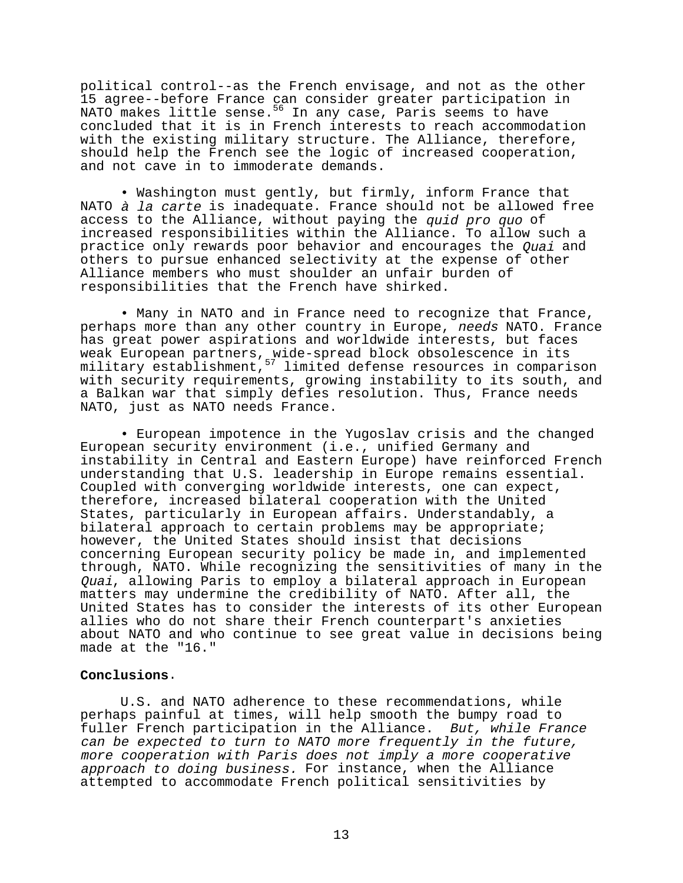political control--as the French envisage, and not as the other 15 agree--before France can consider greater participation in NATO makes little sense.<sup>56</sup> In any case, Paris seems to have concluded that it is in French interests to reach accommodation with the existing military structure. The Alliance, therefore, should help the French see the logic of increased cooperation, and not cave in to immoderate demands.

• Washington must gently, but firmly, inform France that NATO *à la carte* is inadequate. France should not be allowed free access to the Alliance, without paying the quid pro quo of increased responsibilities within the Alliance. To allow such a practice only rewards poor behavior and encourages the Quai and others to pursue enhanced selectivity at the expense of other Alliance members who must shoulder an unfair burden of responsibilities that the French have shirked.

• Many in NATO and in France need to recognize that France, perhaps more than any other country in Europe, needs NATO. France has great power aspirations and worldwide interests, but faces weak European partners, wide-spread block obsolescence in its military establishment, 57 limited defense resources in comparison with security requirements, growing instability to its south, and a Balkan war that simply defies resolution. Thus, France needs NATO, just as NATO needs France.

• European impotence in the Yugoslav crisis and the changed European security environment (i.e., unified Germany and instability in Central and Eastern Europe) have reinforced French understanding that U.S. leadership in Europe remains essential. Coupled with converging worldwide interests, one can expect, therefore, increased bilateral cooperation with the United States, particularly in European affairs. Understandably, a bilateral approach to certain problems may be appropriate; however, the United States should insist that decisions concerning European security policy be made in, and implemented through, NATO. While recognizing the sensitivities of many in the Quai, allowing Paris to employ a bilateral approach in European matters may undermine the credibility of NATO. After all, the United States has to consider the interests of its other European allies who do not share their French counterpart's anxieties about NATO and who continue to see great value in decisions being made at the "16."

# **Conclusions**.

U.S. and NATO adherence to these recommendations, while perhaps painful at times, will help smooth the bumpy road to fuller French participation in the Alliance. But, while France can be expected to turn to NATO more frequently in the future, more cooperation with Paris does not imply a more cooperative approach to doing business. For instance, when the Alliance attempted to accommodate French political sensitivities by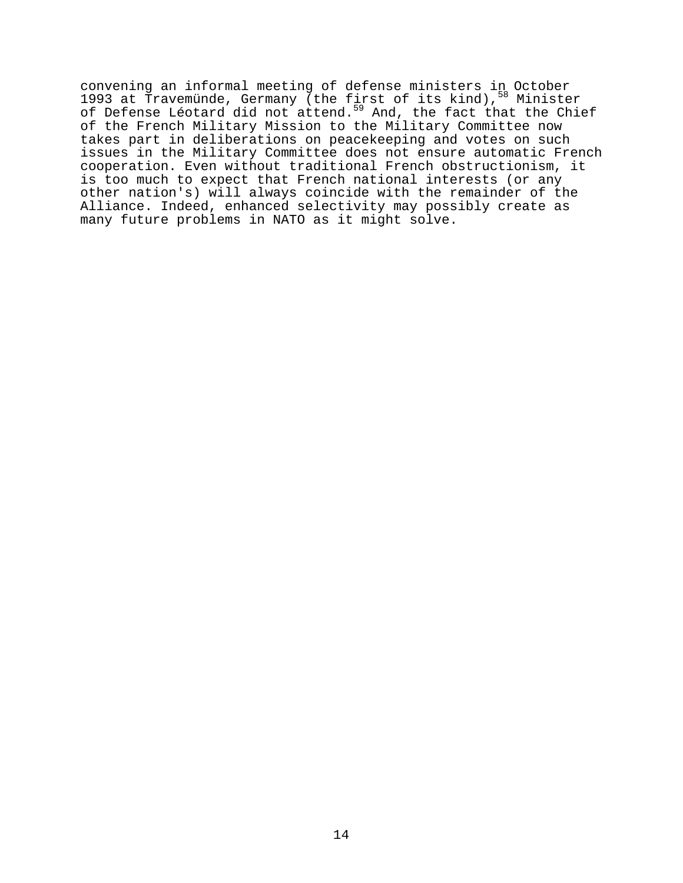convening an informal meeting of defense ministers in October 1993 at Travemünde, Germany (the first of its kind), <sup>58</sup> Minister of Defense Léotard did not attend.<sup>59</sup> And, the fact that the Chief of the French Military Mission to the Military Committee now takes part in deliberations on peacekeeping and votes on such issues in the Military Committee does not ensure automatic French cooperation. Even without traditional French obstructionism, it is too much to expect that French national interests (or any other nation's) will always coincide with the remainder of the Alliance. Indeed, enhanced selectivity may possibly create as many future problems in NATO as it might solve.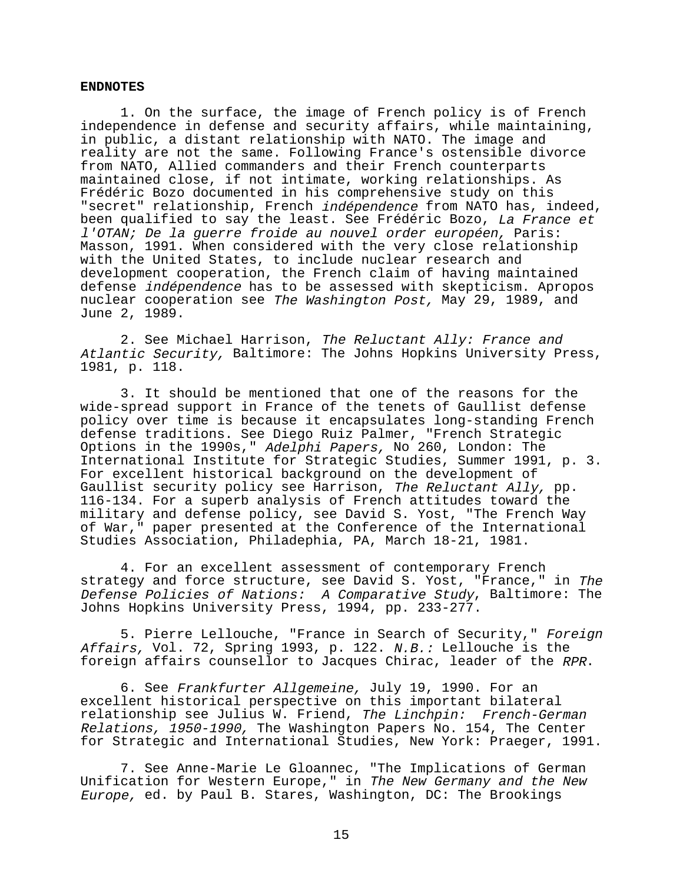### **ENDNOTES**

1. On the surface, the image of French policy is of French independence in defense and security affairs, while maintaining, in public, a distant relationship with NATO. The image and reality are not the same. Following France's ostensible divorce from NATO, Allied commanders and their French counterparts maintained close, if not intimate, working relationships. As Frédéric Bozo documented in his comprehensive study on this "secret" relationship, French indépendence from NATO has, indeed, been qualified to say the least. See Frédéric Bozo, La France et l'OTAN; De la guerre froide au nouvel order européen, Paris: Masson, 1991. When considered with the very close relationship with the United States, to include nuclear research and development cooperation, the French claim of having maintained defense indépendence has to be assessed with skepticism. Apropos nuclear cooperation see The Washington Post, May 29, 1989, and June 2, 1989.

2. See Michael Harrison, The Reluctant Ally: France and Atlantic Security, Baltimore: The Johns Hopkins University Press, 1981, p. 118.

3. It should be mentioned that one of the reasons for the wide-spread support in France of the tenets of Gaullist defense policy over time is because it encapsulates long-standing French defense traditions. See Diego Ruiz Palmer, "French Strategic Options in the 1990s," Adelphi Papers, No 260, London: The International Institute for Strategic Studies, Summer 1991, p. 3. For excellent historical background on the development of Gaullist security policy see Harrison, The Reluctant Ally, pp. 116-134. For a superb analysis of French attitudes toward the military and defense policy, see David S. Yost, "The French Way of War," paper presented at the Conference of the International Studies Association, Philadephia, PA, March 18-21, 1981.

4. For an excellent assessment of contemporary French strategy and force structure, see David S. Yost, "France," in The Defense Policies of Nations: A Comparative Study, Baltimore: The Johns Hopkins University Press, 1994, pp. 233-277.

5. Pierre Lellouche, "France in Search of Security," Foreign Affairs, Vol. 72, Spring 1993, p. 122. N.B.: Lellouche is the foreign affairs counsellor to Jacques Chirac, leader of the RPR.

6. See Frankfurter Allgemeine, July 19, 1990. For an excellent historical perspective on this important bilateral relationship see Julius W. Friend, The Linchpin: French-German Relations, 1950-1990, The Washington Papers No. 154, The Center for Strategic and International Studies, New York: Praeger, 1991.

7. See Anne-Marie Le Gloannec, "The Implications of German Unification for Western Europe," in The New Germany and the New Europe, ed. by Paul B. Stares, Washington, DC: The Brookings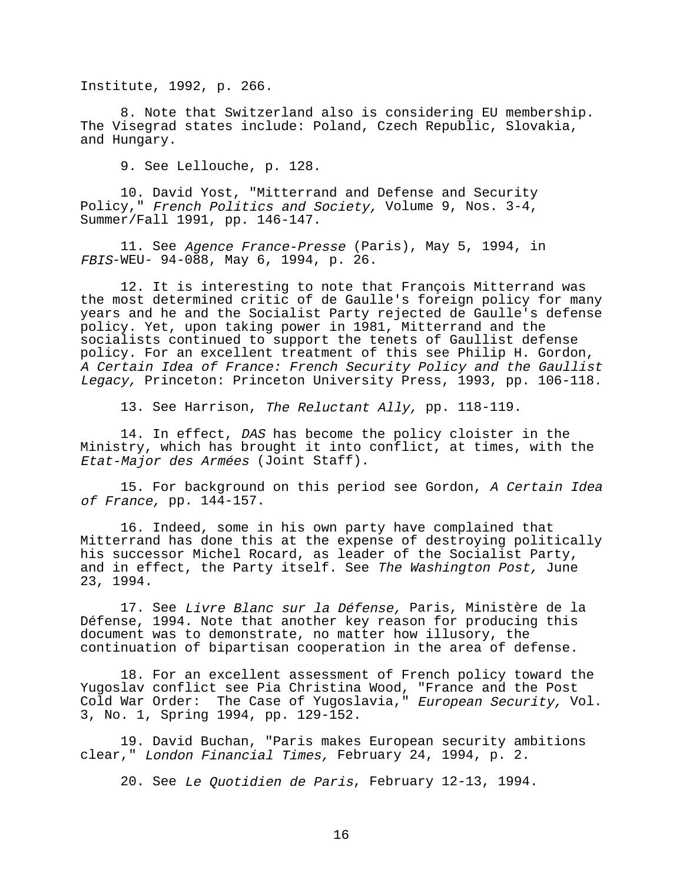Institute, 1992, p. 266.

8. Note that Switzerland also is considering EU membership. The Visegrad states include: Poland, Czech Republic, Slovakia, and Hungary.

9. See Lellouche, p. 128.

10. David Yost, "Mitterrand and Defense and Security Policy," French Politics and Society, Volume 9, Nos. 3-4, Summer/Fall 1991, pp. 146-147.

11. See Agence France-Presse (Paris), May 5, 1994, in FBIS-WEU- 94-088, May 6, 1994, p. 26.

12. It is interesting to note that François Mitterrand was the most determined critic of de Gaulle's foreign policy for many years and he and the Socialist Party rejected de Gaulle's defense policy. Yet, upon taking power in 1981, Mitterrand and the socialists continued to support the tenets of Gaullist defense policy. For an excellent treatment of this see Philip H. Gordon, A Certain Idea of France: French Security Policy and the Gaullist Legacy, Princeton: Princeton University Press, 1993, pp. 106-118.

13. See Harrison, The Reluctant Ally, pp. 118-119.

14. In effect, DAS has become the policy cloister in the Ministry, which has brought it into conflict, at times, with the Etat-Major des Armées (Joint Staff).

15. For background on this period see Gordon, A Certain Idea of France, pp. 144-157.

16. Indeed, some in his own party have complained that Mitterrand has done this at the expense of destroying politically his successor Michel Rocard, as leader of the Socialist Party, and in effect, the Party itself. See The Washington Post, June 23, 1994.

17. See Livre Blanc sur la Défense, Paris, Ministère de la Défense, 1994. Note that another key reason for producing this document was to demonstrate, no matter how illusory, the continuation of bipartisan cooperation in the area of defense.

18. For an excellent assessment of French policy toward the Yugoslav conflict see Pia Christina Wood, "France and the Post Cold War Order: The Case of Yugoslavia," European Security, Vol. 3, No. 1, Spring 1994, pp. 129-152.

19. David Buchan, "Paris makes European security ambitions clear," London Financial Times, February 24, 1994, p. 2.

20. See Le Quotidien de Paris, February 12-13, 1994.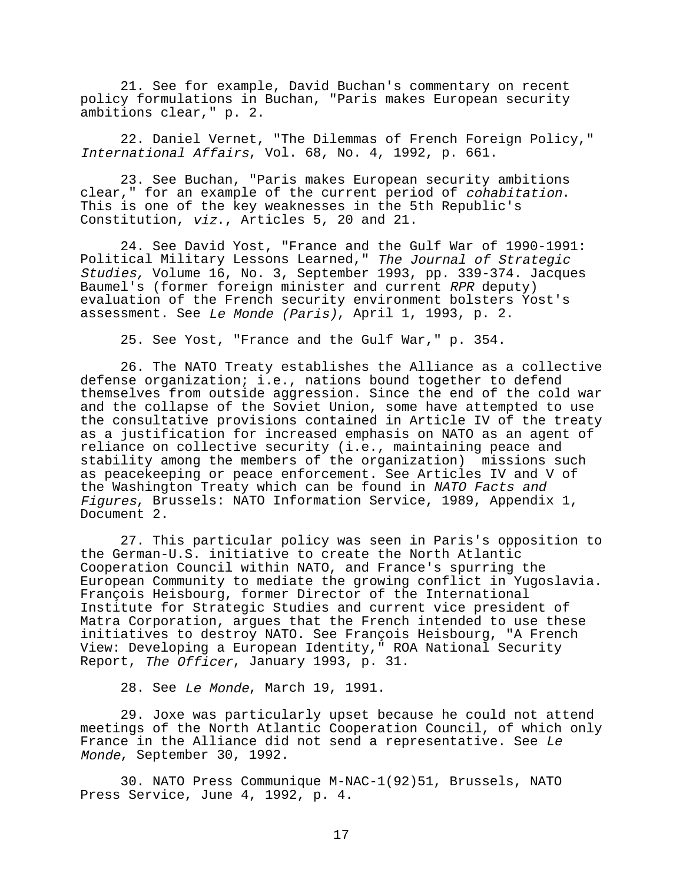21. See for example, David Buchan's commentary on recent policy formulations in Buchan, "Paris makes European security ambitions clear," p. 2.

22. Daniel Vernet, "The Dilemmas of French Foreign Policy," International Affairs, Vol. 68, No. 4, 1992, p. 661.

23. See Buchan, "Paris makes European security ambitions clear," for an example of the current period of cohabitation. This is one of the key weaknesses in the 5th Republic's Constitution, viz., Articles 5, 20 and 21.

24. See David Yost, "France and the Gulf War of 1990-1991: Political Military Lessons Learned," The Journal of Strategic Studies, Volume 16, No. 3, September 1993, pp. 339-374. Jacques Baumel's (former foreign minister and current RPR deputy) evaluation of the French security environment bolsters Yost's assessment. See Le Monde (Paris), April 1, 1993, p. 2.

25. See Yost, "France and the Gulf War," p. 354.

26. The NATO Treaty establishes the Alliance as a collective defense organization; i.e., nations bound together to defend themselves from outside aggression. Since the end of the cold war and the collapse of the Soviet Union, some have attempted to use the consultative provisions contained in Article IV of the treaty as a justification for increased emphasis on NATO as an agent of reliance on collective security (i.e., maintaining peace and stability among the members of the organization) missions such as peacekeeping or peace enforcement. See Articles IV and V of the Washington Treaty which can be found in NATO Facts and Figures, Brussels: NATO Information Service, 1989, Appendix 1, Document 2.

27. This particular policy was seen in Paris's opposition to the German-U.S. initiative to create the North Atlantic Cooperation Council within NATO, and France's spurring the European Community to mediate the growing conflict in Yugoslavia. François Heisbourg, former Director of the International Institute for Strategic Studies and current vice president of Matra Corporation, argues that the French intended to use these initiatives to destroy NATO. See François Heisbourg, "A French View: Developing a European Identity," ROA National Security Report, The Officer, January 1993, p. 31.

28. See Le Monde, March 19, 1991.

29. Joxe was particularly upset because he could not attend meetings of the North Atlantic Cooperation Council, of which only France in the Alliance did not send a representative. See Le Monde, September 30, 1992.

30. NATO Press Communique M-NAC-1(92)51, Brussels, NATO Press Service, June 4, 1992, p. 4.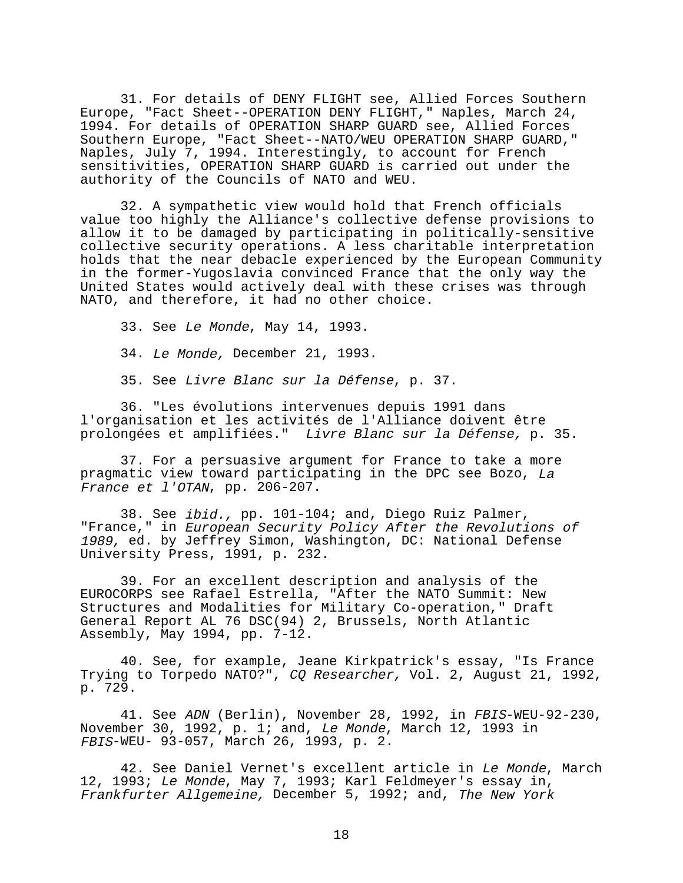31. For details of DENY FLIGHT see, Allied Forces Southern Europe, "Fact Sheet--OPERATION DENY FLIGHT," Naples, March 24, 1994. For details of OPERATION SHARP GUARD see, Allied Forces Southern Europe, "Fact Sheet--NATO/WEU OPERATION SHARP GUARD," Naples, July 7, 1994. Interestingly, to account for French sensitivities, OPERATION SHARP GUARD is carried out under the authority of the Councils of NATO and WEU.

32. A sympathetic view would hold that French officials value too highly the Alliance's collective defense provisions to allow it to be damaged by participating in politically-sensitive collective security operations. A less charitable interpretation holds that the near debacle experienced by the European Community in the former-Yugoslavia convinced France that the only way the United States would actively deal with these crises was through NATO, and therefore, it had no other choice.

33. See Le Monde, May 14, 1993.

34. Le Monde, December 21, 1993.

35. See Livre Blanc sur la Défense, p. 37.

36. "Les évolutions intervenues depuis 1991 dans l'organisation et les activités de l'Alliance doivent être prolongées et amplifiées." Livre Blanc sur la Défense, p. 35.

37. For a persuasive argument for France to take a more pragmatic view toward participating in the DPC see Bozo, La France et l'OTAN, pp. 206-207.

38. See ibid., pp. 101-104; and, Diego Ruiz Palmer, "France," in European Security Policy After the Revolutions of 1989, ed. by Jeffrey Simon, Washington, DC: National Defense University Press, 1991, p. 232.

39. For an excellent description and analysis of the EUROCORPS see Rafael Estrella, "After the NATO Summit: New Structures and Modalities for Military Co-operation," Draft General Report AL 76 DSC(94) 2, Brussels, North Atlantic Assembly, May 1994, pp. 7-12.

40. See, for example, Jeane Kirkpatrick's essay, "Is France Trying to Torpedo NATO?", CQ Researcher, Vol. 2, August 21, 1992, p. 729.

41. See ADN (Berlin), November 28, 1992, in FBIS-WEU-92-230, November 30, 1992, p. 1; and, Le Monde, March 12, 1993 in FBIS-WEU- 93-057, March 26, 1993, p. 2.

42. See Daniel Vernet's excellent article in Le Monde, March 12, 1993; Le Monde, May 7, 1993; Karl Feldmeyer's essay in, Frankfurter Allgemeine, December 5, 1992; and, The New York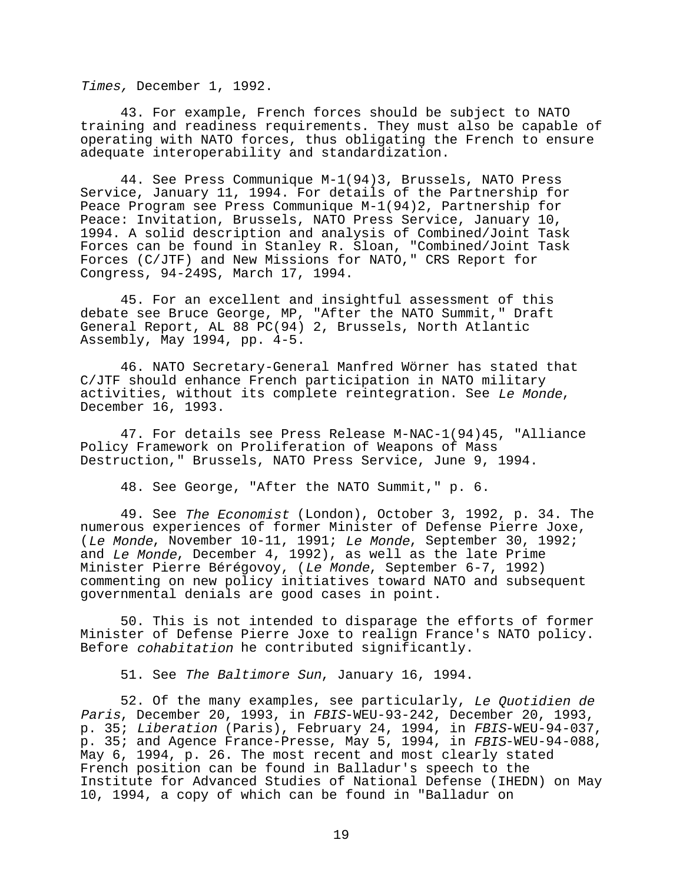Times, December 1, 1992.

43. For example, French forces should be subject to NATO training and readiness requirements. They must also be capable of operating with NATO forces, thus obligating the French to ensure adequate interoperability and standardization.

44. See Press Communique M-1(94)3, Brussels, NATO Press Service, January 11, 1994. For details of the Partnership for Peace Program see Press Communique M-1(94)2, Partnership for Peace: Invitation, Brussels, NATO Press Service, January 10, 1994. A solid description and analysis of Combined/Joint Task Forces can be found in Stanley R. Sloan, "Combined/Joint Task Forces (C/JTF) and New Missions for NATO," CRS Report for Congress, 94-249S, March 17, 1994.

45. For an excellent and insightful assessment of this debate see Bruce George, MP, "After the NATO Summit," Draft General Report, AL 88 PC(94) 2, Brussels, North Atlantic Assembly, May 1994, pp. 4-5.

46. NATO Secretary-General Manfred Wörner has stated that C/JTF should enhance French participation in NATO military activities, without its complete reintegration. See Le Monde, December 16, 1993.

47. For details see Press Release M-NAC-1(94)45, "Alliance Policy Framework on Proliferation of Weapons of Mass Destruction," Brussels, NATO Press Service, June 9, 1994.

48. See George, "After the NATO Summit," p. 6.

49. See The Economist (London), October 3, 1992, p. 34. The numerous experiences of former Minister of Defense Pierre Joxe, (Le Monde, November 10-11, 1991; Le Monde, September 30, 1992; and Le Monde, December 4, 1992), as well as the late Prime Minister Pierre Bérégovoy, (Le Monde, September 6-7, 1992) commenting on new policy initiatives toward NATO and subsequent governmental denials are good cases in point.

50. This is not intended to disparage the efforts of former Minister of Defense Pierre Joxe to realign France's NATO policy. Before cohabitation he contributed significantly.

51. See The Baltimore Sun, January 16, 1994.

52. Of the many examples, see particularly, Le Quotidien de Paris, December 20, 1993, in FBIS-WEU-93-242, December 20, 1993, p. 35; Liberation (Paris), February 24, 1994, in FBIS-WEU-94-037, p. 35; and Agence France-Presse, May 5, 1994, in FBIS-WEU-94-088, May 6, 1994, p. 26. The most recent and most clearly stated French position can be found in Balladur's speech to the Institute for Advanced Studies of National Defense (IHEDN) on May 10, 1994, a copy of which can be found in "Balladur on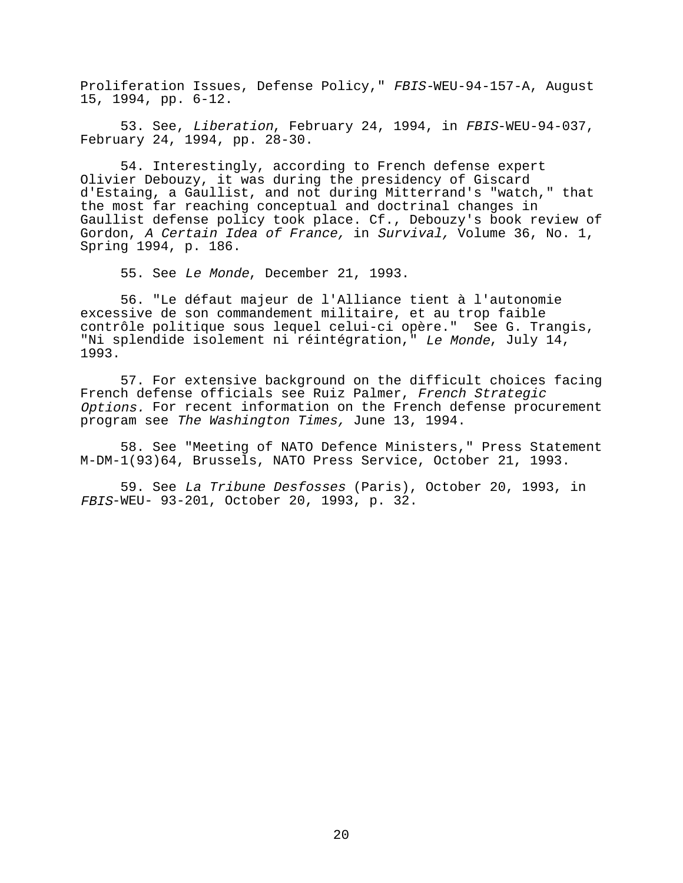Proliferation Issues, Defense Policy," FBIS-WEU-94-157-A, August 15, 1994, pp. 6-12.

53. See, Liberation, February 24, 1994, in FBIS-WEU-94-037. February 24, 1994, pp. 28-30.

54. Interestingly, according to French defense expert Olivier Debouzy, it was during the presidency of Giscard d'Estaing, a Gaullist, and not during Mitterrand's "watch," that the most far reaching conceptual and doctrinal changes in Gaullist defense policy took place. Cf., Debouzy's book review of Gordon, A Certain Idea of France, in Survival, Volume 36, No. 1, Spring 1994, p. 186.

55. See Le Monde, December 21, 1993.

56. "Le défaut majeur de l'Alliance tient à l'autonomie excessive de son commandement militaire, et au trop faible contrôle politique sous lequel celui-ci opère." See G. Trangis, "Ni splendide isolement ni réintégration," Le Monde, July 14, 1993.

57. For extensive background on the difficult choices facing French defense officials see Ruiz Palmer, French Strategic Options. For recent information on the French defense procurement program see The Washington Times, June 13, 1994.

58. See "Meeting of NATO Defence Ministers," Press Statement M-DM-1(93)64, Brussels, NATO Press Service, October 21, 1993.

59. See La Tribune Desfosses (Paris), October 20, 1993, in FBIS-WEU- 93-201, October 20, 1993, p. 32.